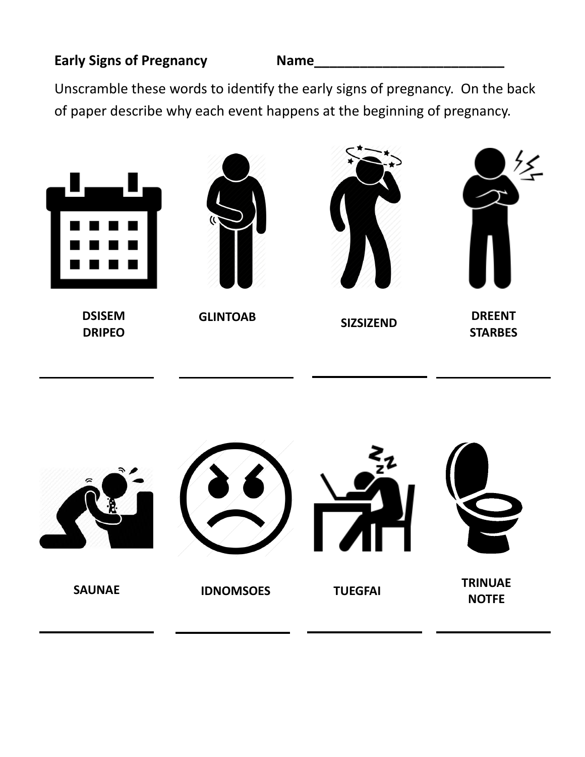## **Early Signs of Pregnancy Name\_\_\_\_\_\_\_\_\_\_\_\_\_\_\_\_\_\_\_\_\_\_\_\_\_**

Unscramble these words to identify the early signs of pregnancy. On the back of paper describe why each event happens at the beginning of pregnancy.